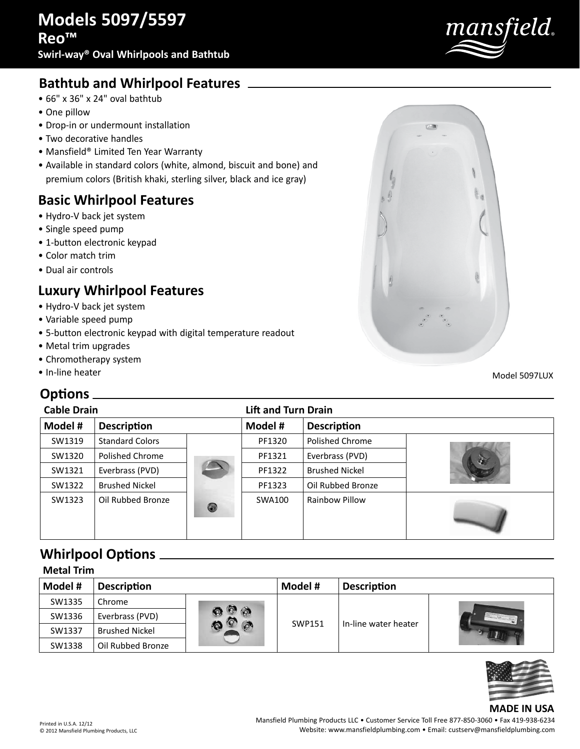

## **Bathtub and Whirlpool Features**

- 66" x 36" x 24" oval bathtub
- One pillow
- Drop-in or undermount installation
- Two decorative handles
- Mansfield® Limited Ten Year Warranty
- Available in standard colors (white, almond, biscuit and bone) and premium colors (British khaki, sterling silver, black and ice gray)

### **Basic Whirlpool Features**

- Hydro-V back jet system
- Single speed pump
- 1-button electronic keypad
- Color match trim
- Dual air controls

### **Luxury Whirlpool Features**

- Hydro-V back jet system
- Variable speed pump
- 5-button electronic keypad with digital temperature readout
- Metal trim upgrades
- Chromotherapy system
- In-line heater

### **Options**

|   | $\mathbb{Z}$<br>$\sim$<br>o,               |    |
|---|--------------------------------------------|----|
|   |                                            | t. |
|   |                                            |    |
| Ą |                                            |    |
|   | $\infty$<br>G<br>$\frac{1}{\sqrt{2}}$<br>ø |    |

Model 5097LUX

| <b>Cable Drain</b> |                        | <b>Lift and Turn Drain</b> |         |                       |    |
|--------------------|------------------------|----------------------------|---------|-----------------------|----|
| Model #            | <b>Description</b>     |                            | Model # | <b>Description</b>    |    |
| SW1319             | <b>Standard Colors</b> |                            | PF1320  | Polished Chrome       |    |
| SW1320             | Polished Chrome        |                            | PF1321  | Everbrass (PVD)       | 62 |
| SW1321             | Everbrass (PVD)        |                            | PF1322  | <b>Brushed Nickel</b> |    |
| SW1322             | <b>Brushed Nickel</b>  |                            | PF1323  | Oil Rubbed Bronze     |    |
| SW1323             | Oil Rubbed Bronze      | 0                          | SWA100  | Rainbow Pillow        |    |

# **Whirlpool Options**

| <b>Metal Trim</b> |                       |                       |         |                      |  |
|-------------------|-----------------------|-----------------------|---------|----------------------|--|
| Model #           | <b>Description</b>    |                       | Model # | <b>Description</b>   |  |
| SW1335            | Chrome                |                       |         |                      |  |
| SW1336            | Everbrass (PVD)       | $\circ$ $\circ$<br>O. | SWP151  | In-line water heater |  |
| SW1337            | <b>Brushed Nickel</b> |                       |         |                      |  |
| SW1338            | Oil Rubbed Bronze     |                       |         |                      |  |



### **MADE IN USA**